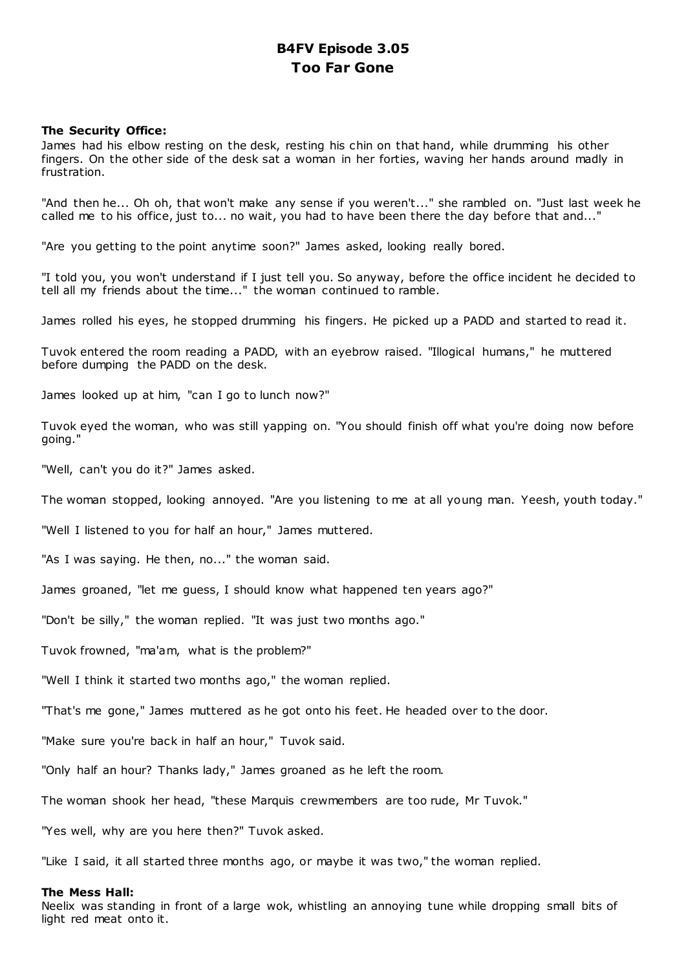# **B4FV Episode 3.05 Too Far Gone**

# **The Security Office:**

James had his elbow resting on the desk, resting his chin on that hand, while drumming his other fingers. On the other side of the desk sat a woman in her forties, waving her hands around madly in frustration.

"And then he... Oh oh, that won't make any sense if you weren't..." she rambled on. "Just last week he called me to his office, just to... no wait, you had to have been there the day before that and..."

"Are you getting to the point anytime soon?" James asked, looking really bored.

"I told you, you won't understand if I just tell you. So anyway, before the office incident he decided to tell all my friends about the time..." the woman continued to ramble.

James rolled his eyes, he stopped drumming his fingers. He picked up a PADD and started to read it.

Tuvok entered the room reading a PADD, with an eyebrow raised. "Illogical humans," he muttered before dumping the PADD on the desk.

James looked up at him, "can I go to lunch now?"

Tuvok eyed the woman, who was still yapping on. "You should finish off what you're doing now before going."

"Well, can't you do it?" James asked.

The woman stopped, looking annoyed. "Are you listening to me at all young man. Yeesh, youth today."

"Well I listened to you for half an hour," James muttered.

"As I was saying. He then, no..." the woman said.

James groaned, "let me guess, I should know what happened ten years ago?"

"Don't be silly," the woman replied. "It was just two months ago."

Tuvok frowned, "ma'am, what is the problem?"

"Well I think it started two months ago," the woman replied.

"That's me gone," James muttered as he got onto his feet. He headed over to the door.

"Make sure you're back in half an hour," Tuvok said.

"Only half an hour? Thanks lady," James groaned as he left the room.

The woman shook her head, "these Marquis crewmembers are too rude, Mr Tuvok."

"Yes well, why are you here then?" Tuvok asked.

"Like I said, it all started three months ago, or maybe it was two," the woman replied.

# **The Mess Hall:**

Neelix was standing in front of a large wok, whistling an annoying tune while dropping small bits of light red meat onto it.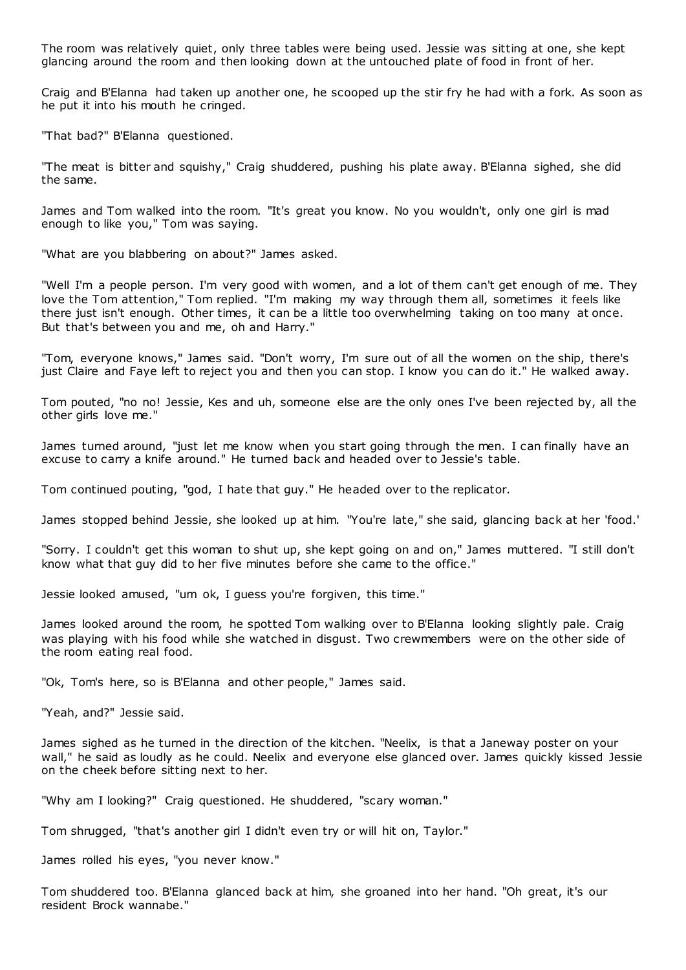The room was relatively quiet, only three tables were being used. Jessie was sitting at one, she kept glancing around the room and then looking down at the untouched plate of food in front of her.

Craig and B'Elanna had taken up another one, he scooped up the stir fry he had with a fork. As soon as he put it into his mouth he cringed.

"That bad?" B'Elanna questioned.

"The meat is bitter and squishy," Craig shuddered, pushing his plate away. B'Elanna sighed, she did the same.

James and Tom walked into the room. "It's great you know. No you wouldn't, only one girl is mad enough to like you," Tom was saying.

"What are you blabbering on about?" James asked.

"Well I'm a people person. I'm very good with women, and a lot of them can't get enough of me. They love the Tom attention," Tom replied. "I'm making my way through them all, sometimes it feels like there just isn't enough. Other times, it can be a little too overwhelming taking on too many at once. But that's between you and me, oh and Harry."

"Tom, everyone knows," James said. "Don't worry, I'm sure out of all the women on the ship, there's just Claire and Faye left to reject you and then you can stop. I know you can do it." He walked away.

Tom pouted, "no no! Jessie, Kes and uh, someone else are the only ones I've been rejected by, all the other girls love me."

James turned around, "just let me know when you start going through the men. I can finally have an excuse to carry a knife around." He turned back and headed over to Jessie's table.

Tom continued pouting, "god, I hate that guy." He headed over to the replicator.

James stopped behind Jessie, she looked up at him. "You're late," she said, glancing back at her 'food.'

"Sorry. I couldn't get this woman to shut up, she kept going on and on," James muttered. "I still don't know what that guy did to her five minutes before she came to the office."

Jessie looked amused, "um ok, I guess you're forgiven, this time."

James looked around the room, he spotted Tom walking over to B'Elanna looking slightly pale. Craig was playing with his food while she watched in disgust. Two crewmembers were on the other side of the room eating real food.

"Ok, Tom's here, so is B'Elanna and other people," James said.

"Yeah, and?" Jessie said.

James sighed as he turned in the direction of the kitchen. "Neelix, is that a Janeway poster on your wall," he said as loudly as he could. Neelix and everyone else glanced over. James quickly kissed Jessie on the cheek before sitting next to her.

"Why am I looking?" Craig questioned. He shuddered, "scary woman."

Tom shrugged, "that's another girl I didn't even try or will hit on, Taylor."

James rolled his eyes, "you never know."

Tom shuddered too. B'Elanna glanced back at him, she groaned into her hand. "Oh great, it's our resident Brock wannabe."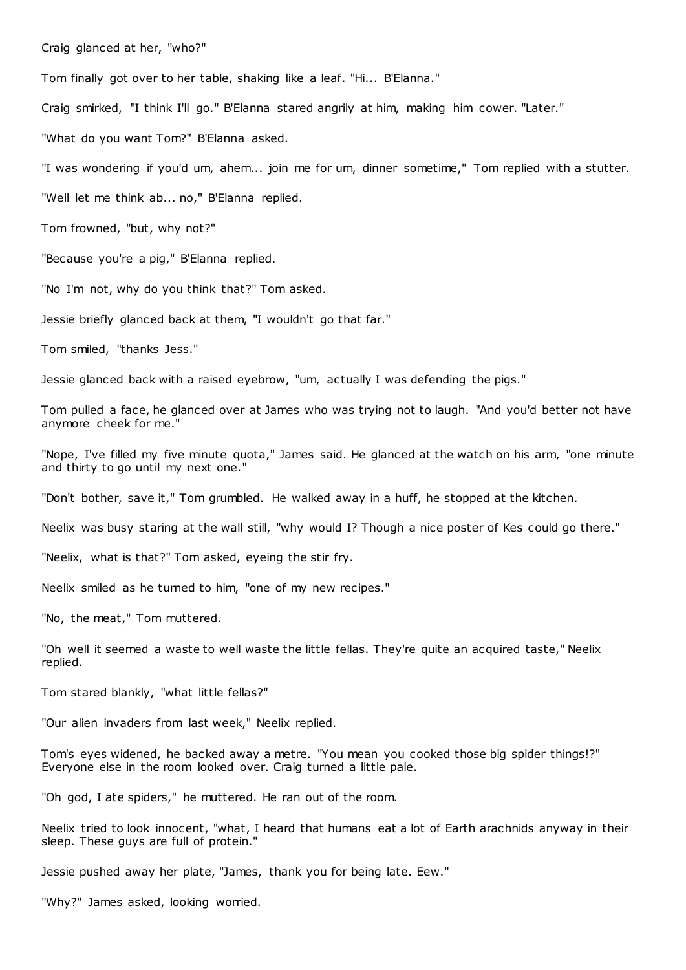Craig glanced at her, "who?"

Tom finally got over to her table, shaking like a leaf. "Hi... B'Elanna."

Craig smirked, "I think I'll go." B'Elanna stared angrily at him, making him cower. "Later."

"What do you want Tom?" B'Elanna asked.

"I was wondering if you'd um, ahem... join me for um, dinner sometime," Tom replied with a stutter.

"Well let me think ab... no," B'Elanna replied.

Tom frowned, "but, why not?"

"Because you're a pig," B'Elanna replied.

"No I'm not, why do you think that?" Tom asked.

Jessie briefly glanced back at them, "I wouldn't go that far."

Tom smiled, "thanks Jess."

Jessie glanced back with a raised eyebrow, "um, actually I was defending the pigs."

Tom pulled a face, he glanced over at James who was trying not to laugh. "And you'd better not have anymore cheek for me."

"Nope, I've filled my five minute quota," James said. He glanced at the watch on his arm, "one minute and thirty to go until my next one."

"Don't bother, save it," Tom grumbled. He walked away in a huff, he stopped at the kitchen.

Neelix was busy staring at the wall still, "why would I? Though a nice poster of Kes could go there."

"Neelix, what is that?" Tom asked, eyeing the stir fry.

Neelix smiled as he turned to him, "one of my new recipes."

"No, the meat," Tom muttered.

"Oh well it seemed a waste to well waste the little fellas. They're quite an acquired taste," Neelix replied.

Tom stared blankly, "what little fellas?"

"Our alien invaders from last week," Neelix replied.

Tom's eyes widened, he backed away a metre. "You mean you cooked those big spider things!?" Everyone else in the room looked over. Craig turned a little pale.

"Oh god, I ate spiders," he muttered. He ran out of the room.

Neelix tried to look innocent, "what, I heard that humans eat a lot of Earth arachnids anyway in their sleep. These guys are full of protein."

Jessie pushed away her plate, "James, thank you for being late. Eew."

"Why?" James asked, looking worried.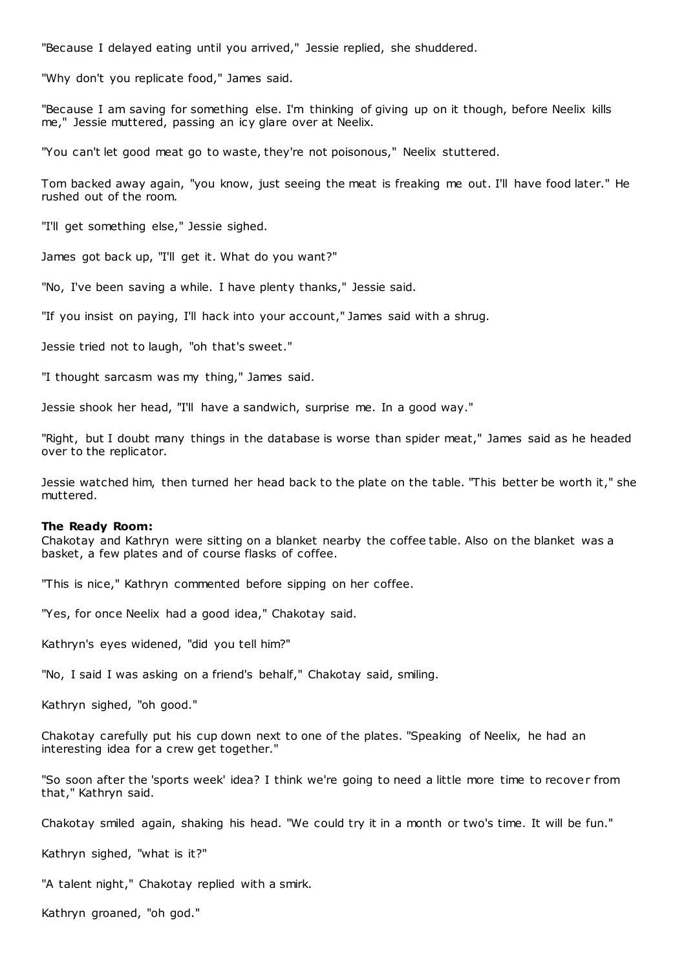"Because I delayed eating until you arrived," Jessie replied, she shuddered.

"Why don't you replicate food," James said.

"Because I am saving for something else. I'm thinking of giving up on it though, before Neelix kills me," Jessie muttered, passing an icy glare over at Neelix.

"You can't let good meat go to waste, they're not poisonous," Neelix stuttered.

Tom backed away again, "you know, just seeing the meat is freaking me out. I'll have food later." He rushed out of the room.

"I'll get something else," Jessie sighed.

James got back up, "I'll get it. What do you want?"

"No, I've been saving a while. I have plenty thanks," Jessie said.

"If you insist on paying, I'll hack into your account," James said with a shrug.

Jessie tried not to laugh, "oh that's sweet."

"I thought sarcasm was my thing," James said.

Jessie shook her head, "I'll have a sandwich, surprise me. In a good way."

"Right, but I doubt many things in the database is worse than spider meat," James said as he headed over to the replicator.

Jessie watched him, then turned her head back to the plate on the table. "This better be worth it," she muttered.

### **The Ready Room:**

Chakotay and Kathryn were sitting on a blanket nearby the coffee table. Also on the blanket was a basket, a few plates and of course flasks of coffee.

"This is nice," Kathryn commented before sipping on her coffee.

"Yes, for once Neelix had a good idea," Chakotay said.

Kathryn's eyes widened, "did you tell him?"

"No, I said I was asking on a friend's behalf," Chakotay said, smiling.

Kathryn sighed, "oh good."

Chakotay carefully put his cup down next to one of the plates. "Speaking of Neelix, he had an interesting idea for a crew get together."

"So soon after the 'sports week' idea? I think we're going to need a little more time to recover from that," Kathryn said.

Chakotay smiled again, shaking his head. "We could try it in a month or two's time. It will be fun."

Kathryn sighed, "what is it?"

"A talent night," Chakotay replied with a smirk.

Kathryn groaned, "oh god."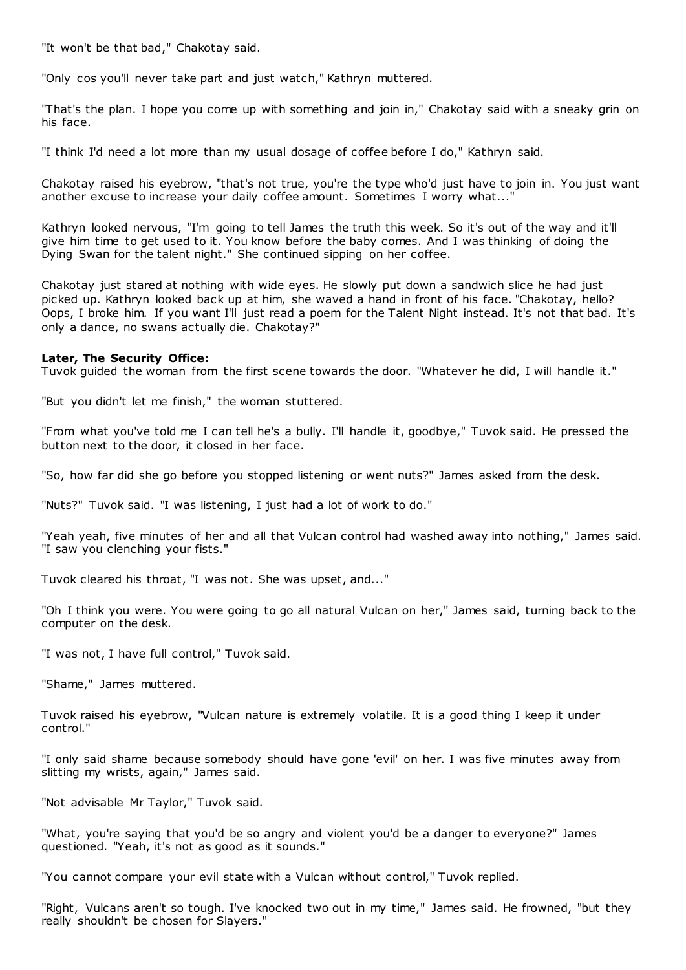"It won't be that bad," Chakotay said.

"Only cos you'll never take part and just watch," Kathryn muttered.

"That's the plan. I hope you come up with something and join in," Chakotay said with a sneaky grin on his face.

"I think I'd need a lot more than my usual dosage of coffee before I do," Kathryn said.

Chakotay raised his eyebrow, "that's not true, you're the type who'd just have to join in. You just want another excuse to increase your daily coffee amount. Sometimes I worry what..."

Kathryn looked nervous, "I'm going to tell James the truth this week. So it's out of the way and it'll give him time to get used to it. You know before the baby comes. And I was thinking of doing the Dying Swan for the talent night." She continued sipping on her coffee.

Chakotay just stared at nothing with wide eyes. He slowly put down a sandwich slice he had just picked up. Kathryn looked back up at him, she waved a hand in front of his face. "Chakotay, hello? Oops, I broke him. If you want I'll just read a poem for the Talent Night instead. It's not that bad. It's only a dance, no swans actually die. Chakotay?"

# **Later, The Security Office:**

Tuvok guided the woman from the first scene towards the door. "Whatever he did, I will handle it."

"But you didn't let me finish," the woman stuttered.

"From what you've told me I can tell he's a bully. I'll handle it, goodbye," Tuvok said. He pressed the button next to the door, it closed in her face.

"So, how far did she go before you stopped listening or went nuts?" James asked from the desk.

"Nuts?" Tuvok said. "I was listening, I just had a lot of work to do."

"Yeah yeah, five minutes of her and all that Vulcan control had washed away into nothing," James said. "I saw you clenching your fists."

Tuvok cleared his throat, "I was not. She was upset, and..."

"Oh I think you were. You were going to go all natural Vulcan on her," James said, turning back to the computer on the desk.

"I was not, I have full control," Tuvok said.

"Shame," James muttered.

Tuvok raised his eyebrow, "Vulcan nature is extremely volatile. It is a good thing I keep it under control."

"I only said shame because somebody should have gone 'evil' on her. I was five minutes away from slitting my wrists, again," James said.

"Not advisable Mr Taylor," Tuvok said.

"What, you're saying that you'd be so angry and violent you'd be a danger to everyone?" James questioned. "Yeah, it's not as good as it sounds."

"You cannot compare your evil state with a Vulcan without control," Tuvok replied.

"Right, Vulcans aren't so tough. I've knocked two out in my time," James said. He frowned, "but they really shouldn't be chosen for Slayers."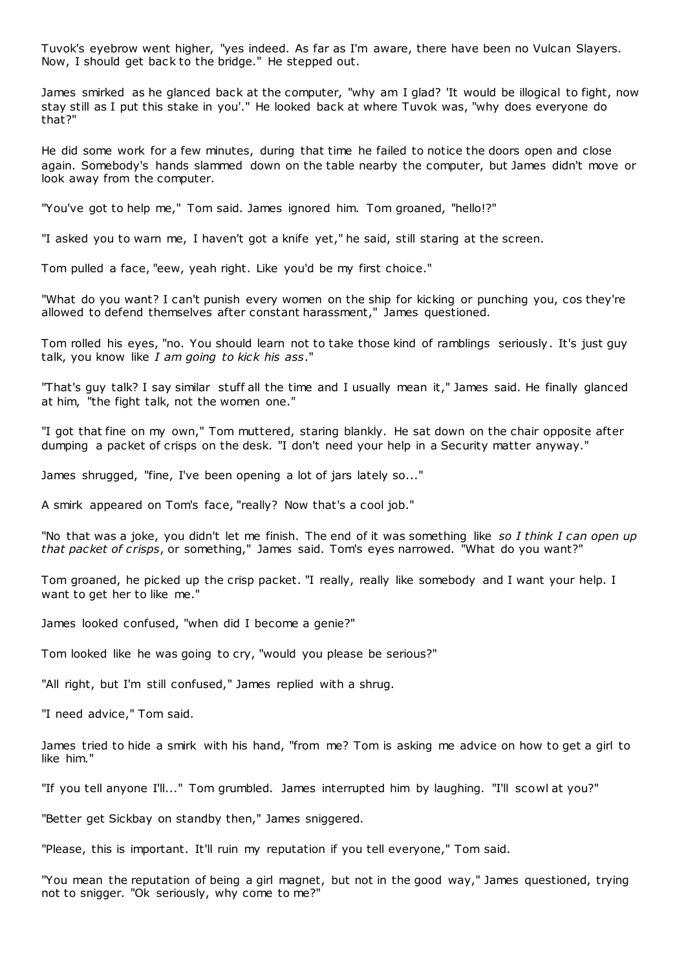Tuvok's eyebrow went higher, "yes indeed. As far as I'm aware, there have been no Vulcan Slayers. Now, I should get back to the bridge." He stepped out.

James smirked as he glanced back at the computer, "why am I glad? 'It would be illogical to fight, now stay still as I put this stake in you'." He looked back at where Tuvok was, "why does everyone do that?"

He did some work for a few minutes, during that time he failed to notice the doors open and close again. Somebody's hands slammed down on the table nearby the computer, but James didn't move or look away from the computer.

"You've got to help me," Tom said. James ignored him. Tom groaned, "hello!?"

"I asked you to warn me, I haven't got a knife yet," he said, still staring at the screen.

Tom pulled a face, "eew, yeah right. Like you'd be my first choice."

"What do you want? I can't punish every women on the ship for kicking or punching you, cos they're allowed to defend themselves after constant harassment," James questioned.

Tom rolled his eyes, "no. You should learn not to take those kind of ramblings seriously. It's just guy talk, you know like *I am going to kick his ass*."

"That's guy talk? I say similar stuff all the time and I usually mean it," James said. He finally glanced at him, "the fight talk, not the women one."

"I got that fine on my own," Tom muttered, staring blankly. He sat down on the chair opposite after dumping a packet of crisps on the desk. "I don't need your help in a Security matter anyway."

James shrugged, "fine, I've been opening a lot of jars lately so..."

A smirk appeared on Tom's face, "really? Now that's a cool job."

"No that was a joke, you didn't let me finish. The end of it was something like *so I think I can open up that packet of crisps*, or something," James said. Tom's eyes narrowed. "What do you want?"

Tom groaned, he picked up the crisp packet. "I really, really like somebody and I want your help. I want to get her to like me."

James looked confused, "when did I become a genie?"

Tom looked like he was going to cry, "would you please be serious?"

"All right, but I'm still confused," James replied with a shrug.

"I need advice," Tom said.

James tried to hide a smirk with his hand, "from me? Tom is asking me advice on how to get a girl to like him."

"If you tell anyone I'll..." Tom grumbled. James interrupted him by laughing. "I'll scowl at you?"

"Better get Sickbay on standby then," James sniggered.

"Please, this is important. It'll ruin my reputation if you tell everyone," Tom said.

"You mean the reputation of being a girl magnet, but not in the good way," James questioned, trying not to snigger. "Ok seriously, why come to me?"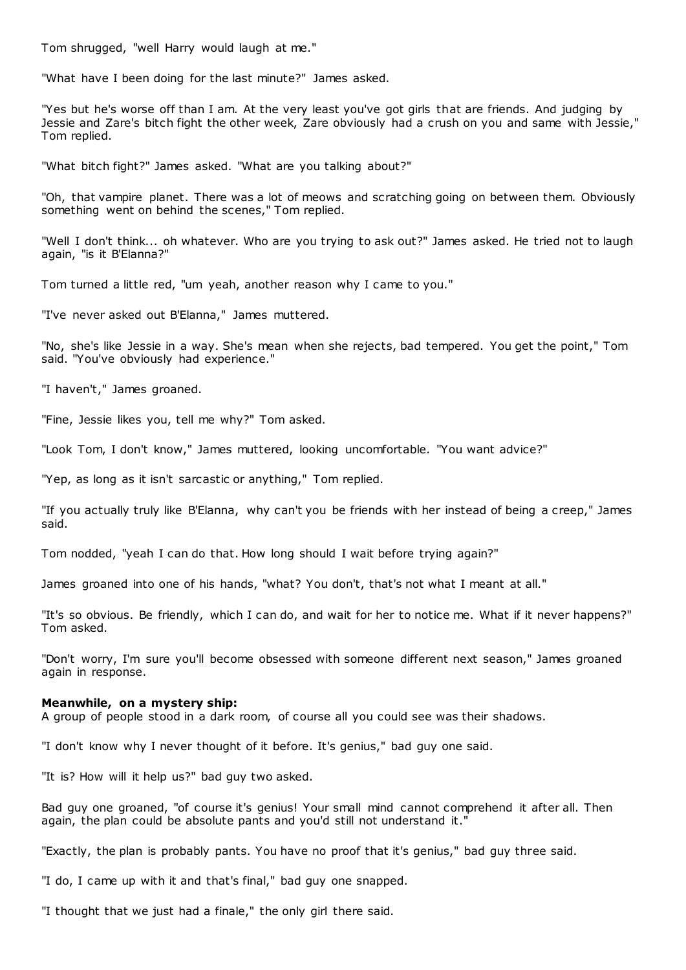Tom shrugged, "well Harry would laugh at me."

"What have I been doing for the last minute?" James asked.

"Yes but he's worse off than I am. At the very least you've got girls that are friends. And judging by Jessie and Zare's bitch fight the other week, Zare obviously had a crush on you and same with Jessie," Tom replied.

"What bitch fight?" James asked. "What are you talking about?"

"Oh, that vampire planet. There was a lot of meows and scratching going on between them. Obviously something went on behind the scenes," Tom replied.

"Well I don't think... oh whatever. Who are you trying to ask out?" James asked. He tried not to laugh again, "is it B'Elanna?"

Tom turned a little red, "um yeah, another reason why I came to you."

"I've never asked out B'Elanna," James muttered.

"No, she's like Jessie in a way. She's mean when she rejects, bad tempered. You get the point," Tom said. "You've obviously had experience."

"I haven't," James groaned.

"Fine, Jessie likes you, tell me why?" Tom asked.

"Look Tom, I don't know," James muttered, looking uncomfortable. "You want advice?"

"Yep, as long as it isn't sarcastic or anything," Tom replied.

"If you actually truly like B'Elanna, why can't you be friends with her instead of being a creep," James said.

Tom nodded, "yeah I can do that. How long should I wait before trying again?"

James groaned into one of his hands, "what? You don't, that's not what I meant at all."

"It's so obvious. Be friendly, which I can do, and wait for her to notice me. What if it never happens?" Tom asked.

"Don't worry, I'm sure you'll become obsessed with someone different next season," James groaned again in response.

### **Meanwhile, on a mystery ship:**

A group of people stood in a dark room, of course all you could see was their shadows.

"I don't know why I never thought of it before. It's genius," bad guy one said.

"It is? How will it help us?" bad guy two asked.

Bad guy one groaned, "of course it's genius! Your small mind cannot comprehend it after all. Then again, the plan could be absolute pants and you'd still not understand it."

"Exactly, the plan is probably pants. You have no proof that it's genius," bad guy three said.

"I do, I came up with it and that's final," bad guy one snapped.

"I thought that we just had a finale," the only girl there said.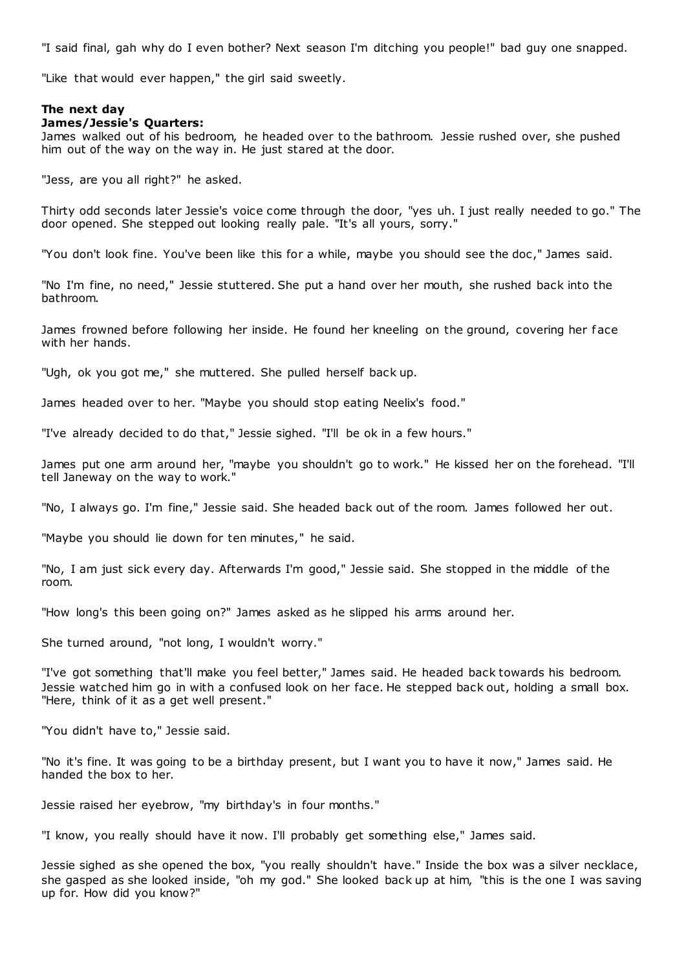"I said final, gah why do I even bother? Next season I'm ditching you people!" bad guy one snapped.

"Like that would ever happen," the girl said sweetly.

### **The next day**

#### **James/Jessie's Quarters:**

James walked out of his bedroom, he headed over to the bathroom. Jessie rushed over, she pushed him out of the way on the way in. He just stared at the door.

"Jess, are you all right?" he asked.

Thirty odd seconds later Jessie's voice come through the door, "yes uh. I just really needed to go." The door opened. She stepped out looking really pale. "It's all yours, sorry."

"You don't look fine. You've been like this for a while, maybe you should see the doc," James said.

"No I'm fine, no need," Jessie stuttered. She put a hand over her mouth, she rushed back into the bathroom.

James frowned before following her inside. He found her kneeling on the ground, covering her face with her hands.

"Ugh, ok you got me," she muttered. She pulled herself back up.

James headed over to her. "Maybe you should stop eating Neelix's food."

"I've already decided to do that," Jessie sighed. "I'll be ok in a few hours."

James put one arm around her, "maybe you shouldn't go to work." He kissed her on the forehead. "I'll tell Janeway on the way to work."

"No, I always go. I'm fine," Jessie said. She headed back out of the room. James followed her out.

"Maybe you should lie down for ten minutes," he said.

"No, I am just sick every day. Afterwards I'm good," Jessie said. She stopped in the middle of the room.

"How long's this been going on?" James asked as he slipped his arms around her.

She turned around, "not long, I wouldn't worry."

"I've got something that'll make you feel better," James said. He headed back towards his bedroom. Jessie watched him go in with a confused look on her face. He stepped back out, holding a small box. "Here, think of it as a get well present."

"You didn't have to," Jessie said.

"No it's fine. It was going to be a birthday present, but I want you to have it now," James said. He handed the box to her.

Jessie raised her eyebrow, "my birthday's in four months."

"I know, you really should have it now. I'll probably get something else," James said.

Jessie sighed as she opened the box, "you really shouldn't have." Inside the box was a silver necklace, she gasped as she looked inside, "oh my god." She looked back up at him, "this is the one I was saving up for. How did you know?"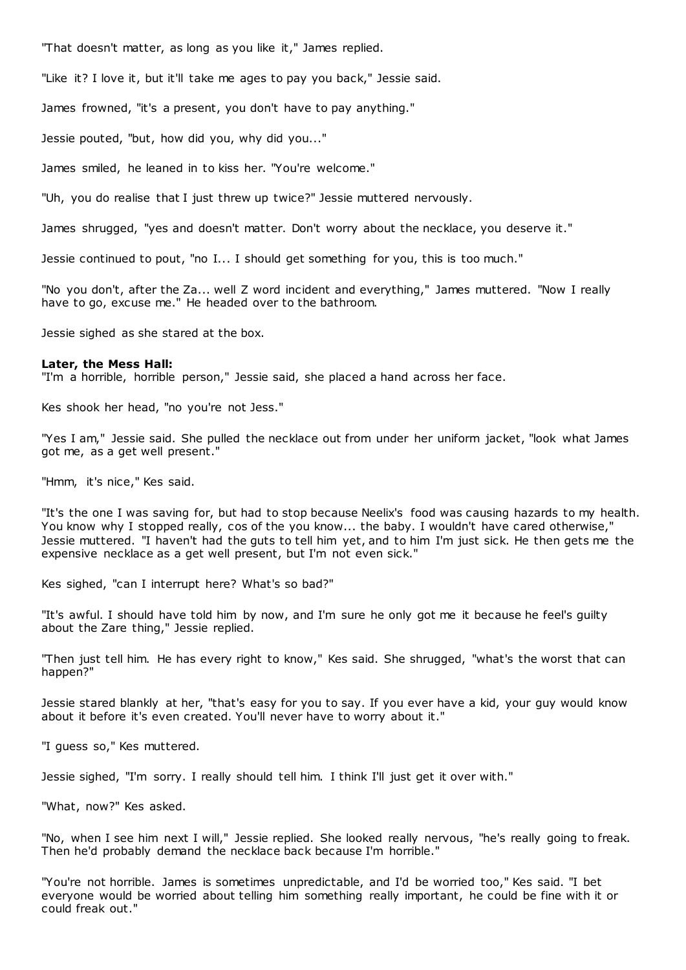"That doesn't matter, as long as you like it," James replied.

"Like it? I love it, but it'll take me ages to pay you back," Jessie said.

James frowned, "it's a present, you don't have to pay anything."

Jessie pouted, "but, how did you, why did you..."

James smiled, he leaned in to kiss her. "You're welcome."

"Uh, you do realise that I just threw up twice?" Jessie muttered nervously.

James shrugged, "yes and doesn't matter. Don't worry about the necklace, you deserve it."

Jessie continued to pout, "no I... I should get something for you, this is too much."

"No you don't, after the Za... well Z word incident and everything," James muttered. "Now I really have to go, excuse me." He headed over to the bathroom.

Jessie sighed as she stared at the box.

#### **Later, the Mess Hall:**

"I'm a horrible, horrible person," Jessie said, she placed a hand across her face.

Kes shook her head, "no you're not Jess."

"Yes I am," Jessie said. She pulled the necklace out from under her uniform jacket, "look what James got me, as a get well present."

"Hmm, it's nice," Kes said.

"It's the one I was saving for, but had to stop because Neelix's food was causing hazards to my health. You know why I stopped really, cos of the you know... the baby. I wouldn't have cared otherwise," Jessie muttered. "I haven't had the guts to tell him yet, and to him I'm just sick. He then gets me the expensive necklace as a get well present, but I'm not even sick."

Kes sighed, "can I interrupt here? What's so bad?"

"It's awful. I should have told him by now, and I'm sure he only got me it because he feel's guilty about the Zare thing," Jessie replied.

"Then just tell him. He has every right to know," Kes said. She shrugged, "what's the worst that can happen?"

Jessie stared blankly at her, "that's easy for you to say. If you ever have a kid, your guy would know about it before it's even created. You'll never have to worry about it."

"I guess so," Kes muttered.

Jessie sighed, "I'm sorry. I really should tell him. I think I'll just get it over with."

"What, now?" Kes asked.

"No, when I see him next I will," Jessie replied. She looked really nervous, "he's really going to freak. Then he'd probably demand the necklace back because I'm horrible."

"You're not horrible. James is sometimes unpredictable, and I'd be worried too," Kes said. "I bet everyone would be worried about telling him something really important, he could be fine with it or could freak out."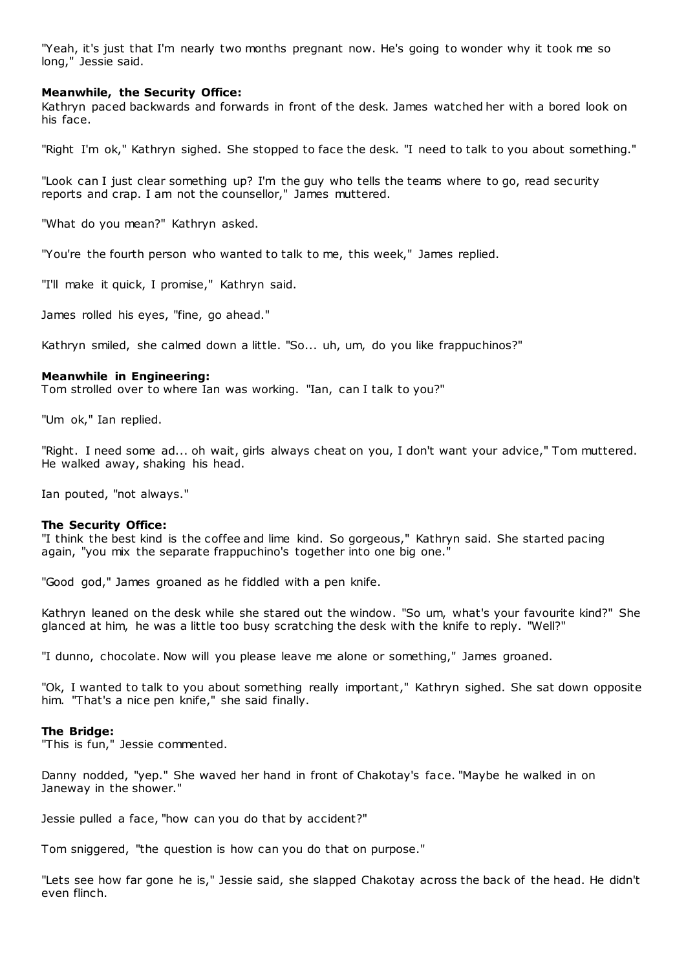"Yeah, it's just that I'm nearly two months pregnant now. He's going to wonder why it took me so long," Jessie said.

# **Meanwhile, the Security Office:**

Kathryn paced backwards and forwards in front of the desk. James watched her with a bored look on his face.

"Right I'm ok," Kathryn sighed. She stopped to face the desk. "I need to talk to you about something."

"Look can I just clear something up? I'm the guy who tells the teams where to go, read security reports and crap. I am not the counsellor," James muttered.

"What do you mean?" Kathryn asked.

"You're the fourth person who wanted to talk to me, this week," James replied.

"I'll make it quick, I promise," Kathryn said.

James rolled his eyes, "fine, go ahead."

Kathryn smiled, she calmed down a little. "So... uh, um, do you like frappuchinos?"

# **Meanwhile in Engineering:**

Tom strolled over to where Ian was working. "Ian, can I talk to you?"

"Um ok," Ian replied.

"Right. I need some ad... oh wait, girls always cheat on you, I don't want your advice," Tom muttered. He walked away, shaking his head.

Ian pouted, "not always."

### **The Security Office:**

"I think the best kind is the coffee and lime kind. So gorgeous," Kathryn said. She started pacing again, "you mix the separate frappuchino's together into one big one."

"Good god," James groaned as he fiddled with a pen knife.

Kathryn leaned on the desk while she stared out the window. "So um, what's your favourite kind?" She glanced at him, he was a little too busy scratching the desk with the knife to reply. "Well?"

"I dunno, chocolate. Now will you please leave me alone or something," James groaned.

"Ok, I wanted to talk to you about something really important," Kathryn sighed. She sat down opposite him. "That's a nice pen knife," she said finally.

### **The Bridge:**

"This is fun," Jessie commented.

Danny nodded, "yep." She waved her hand in front of Chakotay's face. "Maybe he walked in on Janeway in the shower."

Jessie pulled a face, "how can you do that by accident?"

Tom sniggered, "the question is how can you do that on purpose."

"Lets see how far gone he is," Jessie said, she slapped Chakotay across the back of the head. He didn't even flinch.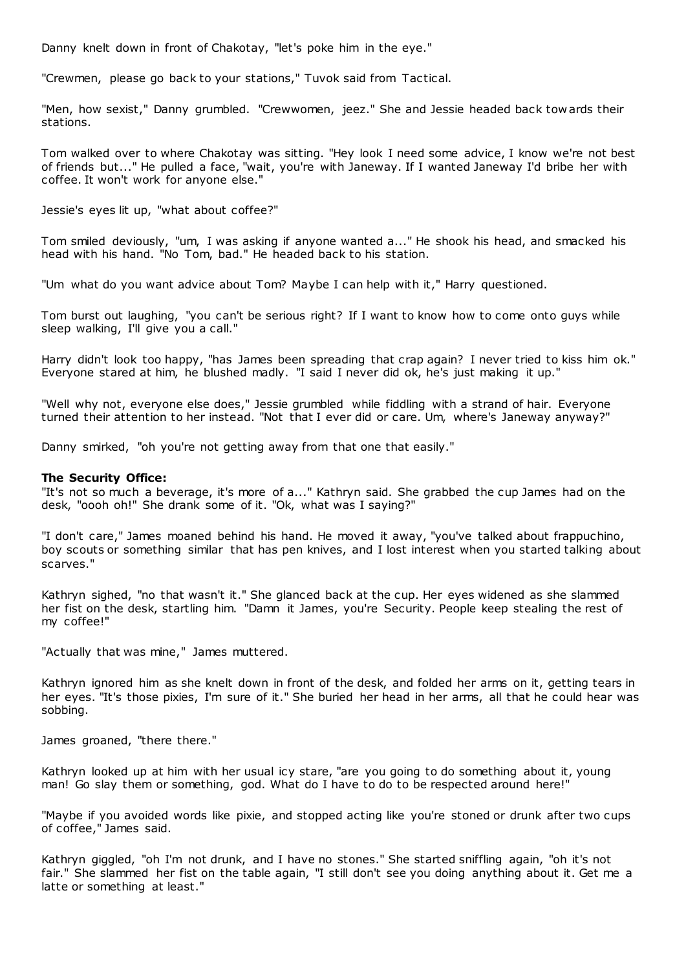Danny knelt down in front of Chakotay, "let's poke him in the eye."

"Crewmen, please go back to your stations," Tuvok said from Tactical.

"Men, how sexist," Danny grumbled. "Crewwomen, jeez." She and Jessie headed back tow ards their stations.

Tom walked over to where Chakotay was sitting. "Hey look I need some advice, I know we're not best of friends but..." He pulled a face, "wait, you're with Janeway. If I wanted Janeway I'd bribe her with coffee. It won't work for anyone else."

Jessie's eyes lit up, "what about coffee?"

Tom smiled deviously, "um, I was asking if anyone wanted a..." He shook his head, and smacked his head with his hand. "No Tom, bad." He headed back to his station.

"Um what do you want advice about Tom? Maybe I can help with it," Harry questioned.

Tom burst out laughing, "you can't be serious right? If I want to know how to come onto guys while sleep walking, I'll give you a call."

Harry didn't look too happy, "has James been spreading that crap again? I never tried to kiss him ok." Everyone stared at him, he blushed madly. "I said I never did ok, he's just making it up."

"Well why not, everyone else does," Jessie grumbled while fiddling with a strand of hair. Everyone turned their attention to her instead. "Not that I ever did or care. Um, where's Janeway anyway?"

Danny smirked, "oh you're not getting away from that one that easily."

# **The Security Office:**

"It's not so much a beverage, it's more of a..." Kathryn said. She grabbed the cup James had on the desk, "oooh oh!" She drank some of it. "Ok, what was I saying?"

"I don't care," James moaned behind his hand. He moved it away, "you've talked about frappuchino, boy scouts or something similar that has pen knives, and I lost interest when you started talking about scarves."

Kathryn sighed, "no that wasn't it." She glanced back at the cup. Her eyes widened as she slammed her fist on the desk, startling him. "Damn it James, you're Security. People keep stealing the rest of my coffee!"

"Actually that was mine," James muttered.

Kathryn ignored him as she knelt down in front of the desk, and folded her arms on it, getting tears in her eyes. "It's those pixies, I'm sure of it." She buried her head in her arms, all that he could hear was sobbing.

James groaned, "there there."

Kathryn looked up at him with her usual icy stare, "are you going to do something about it, young man! Go slay them or something, god. What do I have to do to be respected around here!"

"Maybe if you avoided words like pixie, and stopped acting like you're stoned or drunk after two cups of coffee," James said.

Kathryn giggled, "oh I'm not drunk, and I have no stones." She started sniffling again, "oh it's not fair." She slammed her fist on the table again, "I still don't see you doing anything about it. Get me a latte or something at least."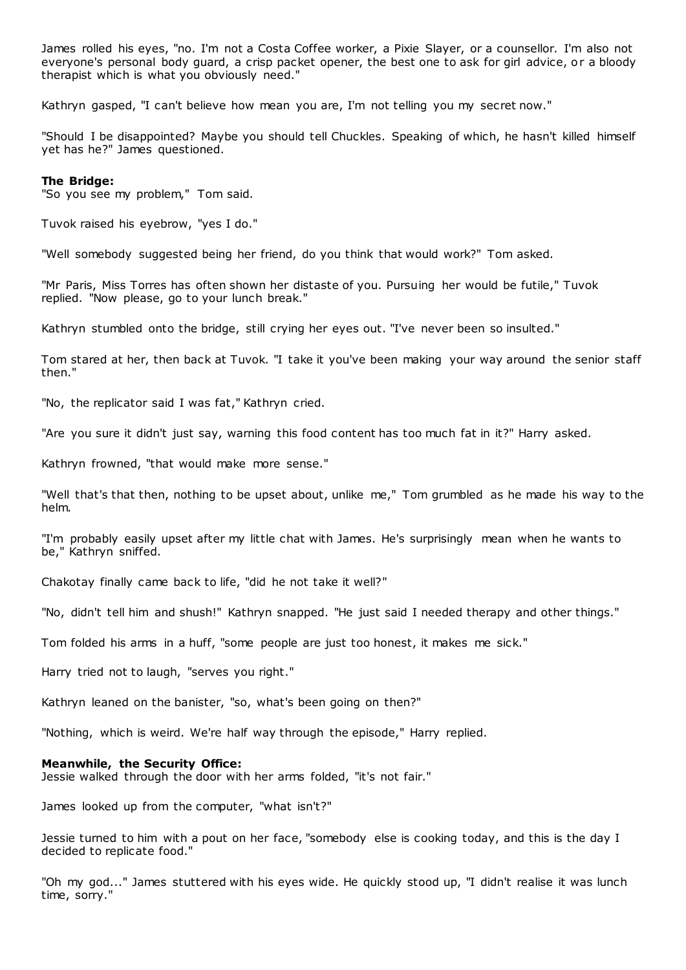James rolled his eyes, "no. I'm not a Costa Coffee worker, a Pixie Slayer, or a counsellor. I'm also not everyone's personal body guard, a crisp packet opener, the best one to ask for girl advice, or a bloody therapist which is what you obviously need."

Kathryn gasped, "I can't believe how mean you are, I'm not telling you my secret now."

"Should I be disappointed? Maybe you should tell Chuckles. Speaking of which, he hasn't killed himself yet has he?" James questioned.

# **The Bridge:**

"So you see my problem," Tom said.

Tuvok raised his eyebrow, "yes I do."

"Well somebody suggested being her friend, do you think that would work?" Tom asked.

"Mr Paris, Miss Torres has often shown her distaste of you. Pursuing her would be futile," Tuvok replied. "Now please, go to your lunch break."

Kathryn stumbled onto the bridge, still crying her eyes out. "I've never been so insulted."

Tom stared at her, then back at Tuvok. "I take it you've been making your way around the senior staff then."

"No, the replicator said I was fat," Kathryn cried.

"Are you sure it didn't just say, warning this food content has too much fat in it?" Harry asked.

Kathryn frowned, "that would make more sense."

"Well that's that then, nothing to be upset about, unlike me," Tom grumbled as he made his way to the helm.

"I'm probably easily upset after my little chat with James. He's surprisingly mean when he wants to be," Kathryn sniffed.

Chakotay finally came back to life, "did he not take it well?"

"No, didn't tell him and shush!" Kathryn snapped. "He just said I needed therapy and other things."

Tom folded his arms in a huff, "some people are just too honest, it makes me sick."

Harry tried not to laugh, "serves you right."

Kathryn leaned on the banister, "so, what's been going on then?"

"Nothing, which is weird. We're half way through the episode," Harry replied.

### **Meanwhile, the Security Office:**

Jessie walked through the door with her arms folded, "it's not fair."

James looked up from the computer, "what isn't?"

Jessie turned to him with a pout on her face, "somebody else is cooking today, and this is the day I decided to replicate food."

"Oh my god..." James stuttered with his eyes wide. He quickly stood up, "I didn't realise it was lunch time, sorry."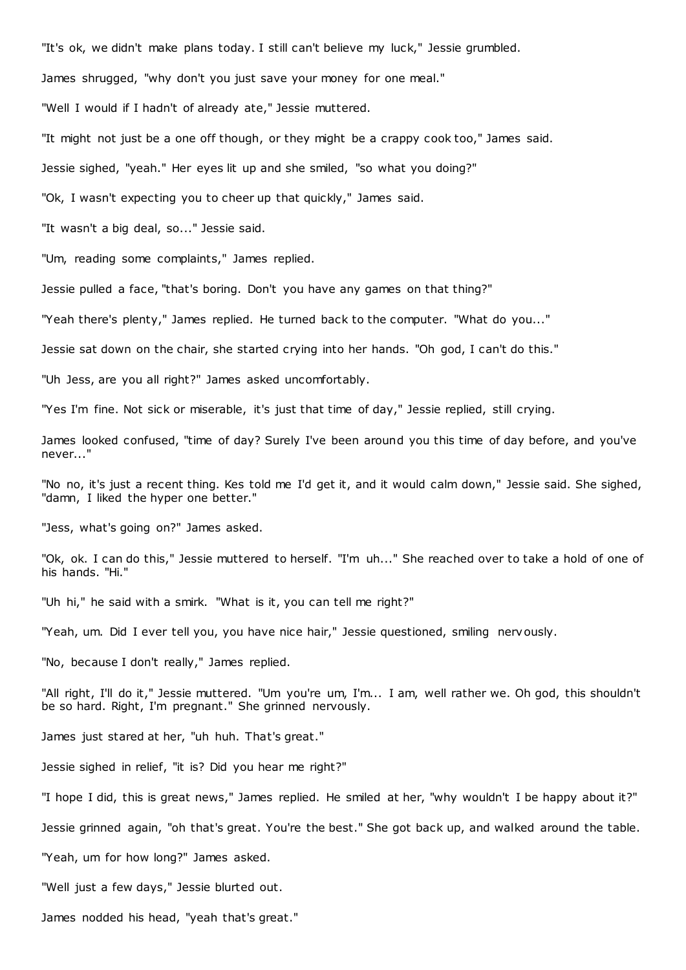"It's ok, we didn't make plans today. I still can't believe my luck," Jessie grumbled.

James shrugged, "why don't you just save your money for one meal."

"Well I would if I hadn't of already ate," Jessie muttered.

"It might not just be a one off though, or they might be a crappy cook too," James said.

Jessie sighed, "yeah." Her eyes lit up and she smiled, "so what you doing?"

"Ok, I wasn't expecting you to cheer up that quickly," James said.

"It wasn't a big deal, so..." Jessie said.

"Um, reading some complaints," James replied.

Jessie pulled a face, "that's boring. Don't you have any games on that thing?"

"Yeah there's plenty," James replied. He turned back to the computer. "What do you..."

Jessie sat down on the chair, she started crying into her hands. "Oh god, I can't do this."

"Uh Jess, are you all right?" James asked uncomfortably.

"Yes I'm fine. Not sick or miserable, it's just that time of day," Jessie replied, still crying.

James looked confused, "time of day? Surely I've been around you this time of day before, and you've never..."

"No no, it's just a recent thing. Kes told me I'd get it, and it would calm down," Jessie said. She sighed, "damn, I liked the hyper one better."

"Jess, what's going on?" James asked.

"Ok, ok. I can do this," Jessie muttered to herself. "I'm uh..." She reached over to take a hold of one of his hands. "Hi."

"Uh hi," he said with a smirk. "What is it, you can tell me right?"

"Yeah, um. Did I ever tell you, you have nice hair," Jessie questioned, smiling nervously.

"No, because I don't really," James replied.

"All right, I'll do it," Jessie muttered. "Um you're um, I'm... I am, well rather we. Oh god, this shouldn't be so hard. Right, I'm pregnant." She grinned nervously.

James just stared at her, "uh huh. That's great."

Jessie sighed in relief, "it is? Did you hear me right?"

"I hope I did, this is great news," James replied. He smiled at her, "why wouldn't I be happy about it?"

Jessie grinned again, "oh that's great. You're the best." She got back up, and walked around the table.

"Yeah, um for how long?" James asked.

"Well just a few days," Jessie blurted out.

James nodded his head, "yeah that's great."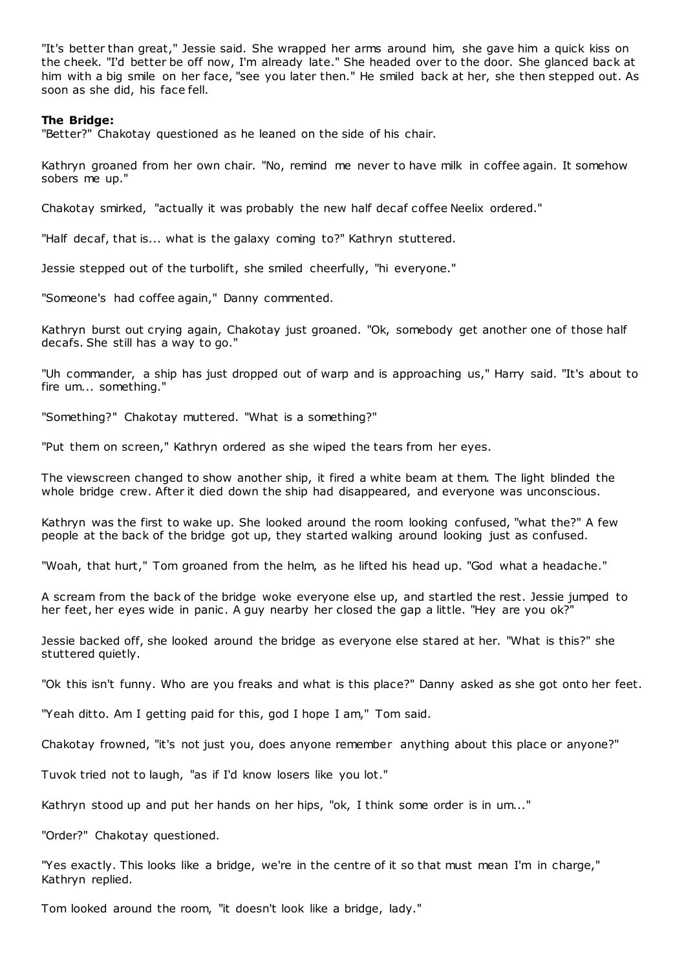"It's better than great," Jessie said. She wrapped her arms around him, she gave him a quick kiss on the cheek. "I'd better be off now, I'm already late." She headed over to the door. She glanced back at him with a big smile on her face, "see you later then." He smiled back at her, she then stepped out. As soon as she did, his face fell.

# **The Bridge:**

"Better?" Chakotay questioned as he leaned on the side of his chair.

Kathryn groaned from her own chair. "No, remind me never to have milk in coffee again. It somehow sobers me up."

Chakotay smirked, "actually it was probably the new half decaf coffee Neelix ordered."

"Half decaf, that is... what is the galaxy coming to?" Kathryn stuttered.

Jessie stepped out of the turbolift, she smiled cheerfully, "hi everyone."

"Someone's had coffee again," Danny commented.

Kathryn burst out crying again, Chakotay just groaned. "Ok, somebody get another one of those half decafs. She still has a way to go."

"Uh commander, a ship has just dropped out of warp and is approaching us," Harry said. "It's about to fire um... something."

"Something?" Chakotay muttered. "What is a something?"

"Put them on screen," Kathryn ordered as she wiped the tears from her eyes.

The viewscreen changed to show another ship, it fired a white beam at them. The light blinded the whole bridge crew. After it died down the ship had disappeared, and everyone was unconscious.

Kathryn was the first to wake up. She looked around the room looking confused, "what the?" A few people at the back of the bridge got up, they started walking around looking just as confused.

"Woah, that hurt," Tom groaned from the helm, as he lifted his head up. "God what a headache."

A scream from the back of the bridge woke everyone else up, and startled the rest. Jessie jumped to her feet, her eyes wide in panic. A guy nearby her closed the gap a little. "Hey are you ok?"

Jessie backed off, she looked around the bridge as everyone else stared at her. "What is this?" she stuttered quietly.

"Ok this isn't funny. Who are you freaks and what is this place?" Danny asked as she got onto her feet.

"Yeah ditto. Am I getting paid for this, god I hope I am," Tom said.

Chakotay frowned, "it's not just you, does anyone remember anything about this place or anyone?"

Tuvok tried not to laugh, "as if I'd know losers like you lot."

Kathryn stood up and put her hands on her hips, "ok, I think some order is in um..."

"Order?" Chakotay questioned.

"Yes exactly. This looks like a bridge, we're in the centre of it so that must mean I'm in charge," Kathryn replied.

Tom looked around the room, "it doesn't look like a bridge, lady."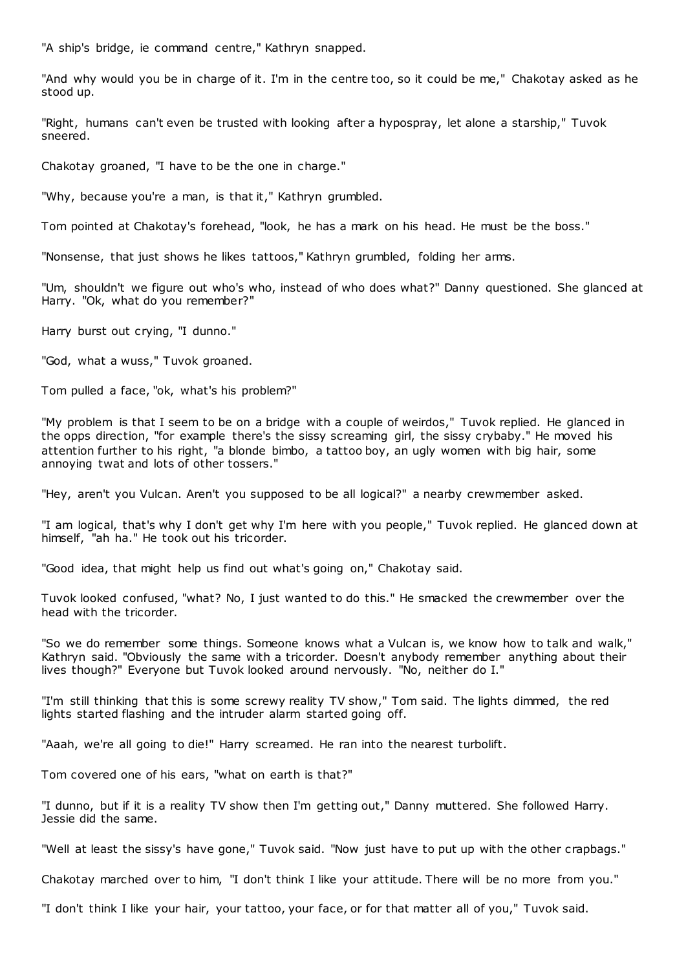"A ship's bridge, ie command centre," Kathryn snapped.

"And why would you be in charge of it. I'm in the centre too, so it could be me," Chakotay asked as he stood up.

"Right, humans can't even be trusted with looking after a hypospray, let alone a starship," Tuvok sneered.

Chakotay groaned, "I have to be the one in charge."

"Why, because you're a man, is that it," Kathryn grumbled.

Tom pointed at Chakotay's forehead, "look, he has a mark on his head. He must be the boss."

"Nonsense, that just shows he likes tattoos," Kathryn grumbled, folding her arms.

"Um, shouldn't we figure out who's who, instead of who does what?" Danny questioned. She glanced at Harry. "Ok, what do you remember?"

Harry burst out crying, "I dunno."

"God, what a wuss," Tuvok groaned.

Tom pulled a face, "ok, what's his problem?"

"My problem is that I seem to be on a bridge with a couple of weirdos," Tuvok replied. He glanced in the opps direction, "for example there's the sissy screaming girl, the sissy crybaby." He moved his attention further to his right, "a blonde bimbo, a tattoo boy, an ugly women with big hair, some annoying twat and lots of other tossers."

"Hey, aren't you Vulcan. Aren't you supposed to be all logical?" a nearby crewmember asked.

"I am logical, that's why I don't get why I'm here with you people," Tuvok replied. He glanced down at himself, "ah ha." He took out his tricorder.

"Good idea, that might help us find out what's going on," Chakotay said.

Tuvok looked confused, "what? No, I just wanted to do this." He smacked the crewmember over the head with the tricorder.

"So we do remember some things. Someone knows what a Vulcan is, we know how to talk and walk," Kathryn said. "Obviously the same with a tricorder. Doesn't anybody remember anything about their lives though?" Everyone but Tuvok looked around nervously. "No, neither do I."

"I'm still thinking that this is some screwy reality TV show," Tom said. The lights dimmed, the red lights started flashing and the intruder alarm started going off.

"Aaah, we're all going to die!" Harry screamed. He ran into the nearest turbolift.

Tom covered one of his ears, "what on earth is that?"

"I dunno, but if it is a reality TV show then I'm getting out," Danny muttered. She followed Harry. Jessie did the same.

"Well at least the sissy's have gone," Tuvok said. "Now just have to put up with the other crapbags."

Chakotay marched over to him, "I don't think I like your attitude. There will be no more from you."

"I don't think I like your hair, your tattoo, your face, or for that matter all of you," Tuvok said.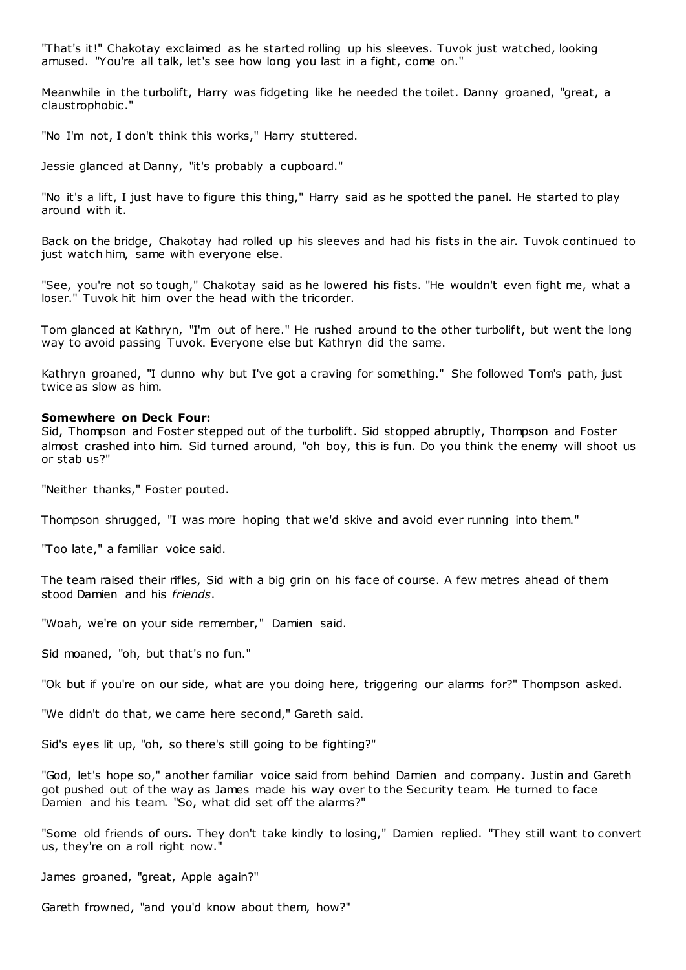"That's it!" Chakotay exclaimed as he started rolling up his sleeves. Tuvok just watched, looking amused. "You're all talk, let's see how long you last in a fight, come on."

Meanwhile in the turbolift, Harry was fidgeting like he needed the toilet. Danny groaned, "great, a claustrophobic ."

"No I'm not, I don't think this works," Harry stuttered.

Jessie glanced at Danny, "it's probably a cupboard."

"No it's a lift, I just have to figure this thing," Harry said as he spotted the panel. He started to play around with it.

Back on the bridge, Chakotay had rolled up his sleeves and had his fists in the air. Tuvok continued to just watch him, same with everyone else.

"See, you're not so tough," Chakotay said as he lowered his fists. "He wouldn't even fight me, what a loser." Tuvok hit him over the head with the tricorder.

Tom glanced at Kathryn, "I'm out of here." He rushed around to the other turbolift, but went the long way to avoid passing Tuvok. Everyone else but Kathryn did the same.

Kathryn groaned, "I dunno why but I've got a craving for something." She followed Tom's path, just twice as slow as him.

# **Somewhere on Deck Four:**

Sid, Thompson and Foster stepped out of the turbolift. Sid stopped abruptly, Thompson and Foster almost crashed into him. Sid turned around, "oh boy, this is fun. Do you think the enemy will shoot us or stab us?"

"Neither thanks," Foster pouted.

Thompson shrugged, "I was more hoping that we'd skive and avoid ever running into them."

"Too late," a familiar voice said.

The team raised their rifles, Sid with a big grin on his face of course. A few metres ahead of them stood Damien and his *friends*.

"Woah, we're on your side remember," Damien said.

Sid moaned, "oh, but that's no fun."

"Ok but if you're on our side, what are you doing here, triggering our alarms for?" Thompson asked.

"We didn't do that, we came here second," Gareth said.

Sid's eyes lit up, "oh, so there's still going to be fighting?"

"God, let's hope so," another familiar voice said from behind Damien and company. Justin and Gareth got pushed out of the way as James made his way over to the Security team. He turned to face Damien and his team. "So, what did set off the alarms?"

"Some old friends of ours. They don't take kindly to losing," Damien replied. "They still want to convert us, they're on a roll right now."

James groaned, "great, Apple again?"

Gareth frowned, "and you'd know about them, how?"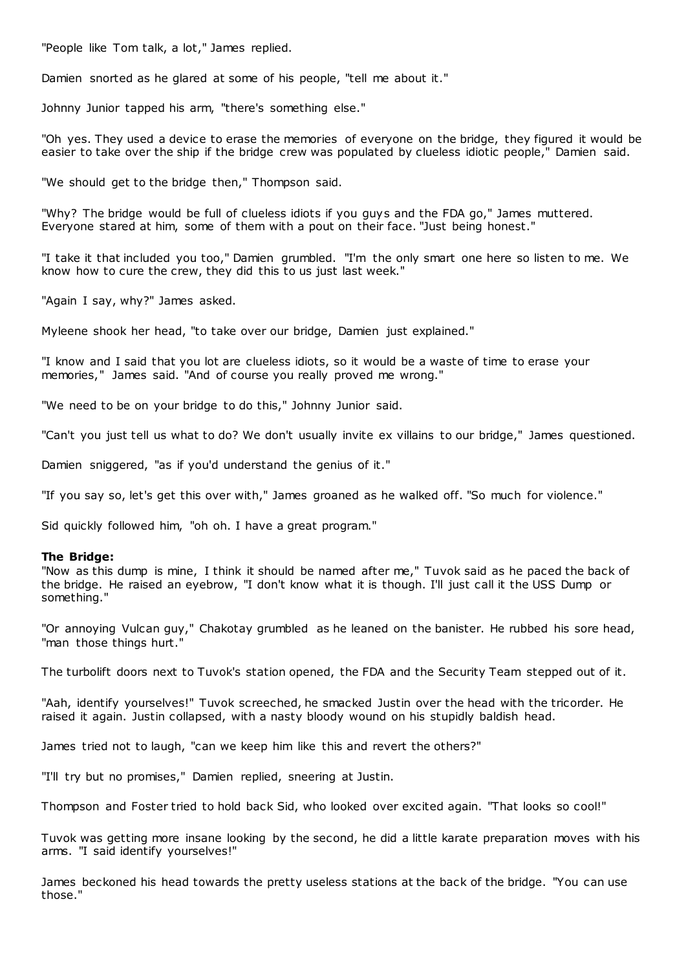"People like Tom talk, a lot," James replied.

Damien snorted as he glared at some of his people, "tell me about it."

Johnny Junior tapped his arm, "there's something else."

"Oh yes. They used a device to erase the memories of everyone on the bridge, they figured it would be easier to take over the ship if the bridge crew was populated by clueless idiotic people," Damien said.

"We should get to the bridge then," Thompson said.

"Why? The bridge would be full of clueless idiots if you guys and the FDA go," James muttered. Everyone stared at him, some of them with a pout on their face. "Just being honest."

"I take it that included you too," Damien grumbled. "I'm the only smart one here so listen to me. We know how to cure the crew, they did this to us just last week."

"Again I say, why?" James asked.

Myleene shook her head, "to take over our bridge, Damien just explained."

"I know and I said that you lot are clueless idiots, so it would be a waste of time to erase your memories," James said. "And of course you really proved me wrong."

"We need to be on your bridge to do this," Johnny Junior said.

"Can't you just tell us what to do? We don't usually invite ex villains to our bridge," James questioned.

Damien sniggered, "as if you'd understand the genius of it."

"If you say so, let's get this over with," James groaned as he walked off. "So much for violence."

Sid quickly followed him, "oh oh. I have a great program."

# **The Bridge:**

"Now as this dump is mine, I think it should be named after me," Tuvok said as he paced the back of the bridge. He raised an eyebrow, "I don't know what it is though. I'll just call it the USS Dump or something."

"Or annoying Vulcan guy," Chakotay grumbled as he leaned on the banister. He rubbed his sore head, "man those things hurt."

The turbolift doors next to Tuvok's station opened, the FDA and the Security Team stepped out of it.

"Aah, identify yourselves!" Tuvok screeched, he smacked Justin over the head with the tricorder. He raised it again. Justin collapsed, with a nasty bloody wound on his stupidly baldish head.

James tried not to laugh, "can we keep him like this and revert the others?"

"I'll try but no promises," Damien replied, sneering at Justin.

Thompson and Foster tried to hold back Sid, who looked over excited again. "That looks so cool!"

Tuvok was getting more insane looking by the second, he did a little karate preparation moves with his arms. "I said identify yourselves!"

James beckoned his head towards the pretty useless stations at the back of the bridge. "You can use those."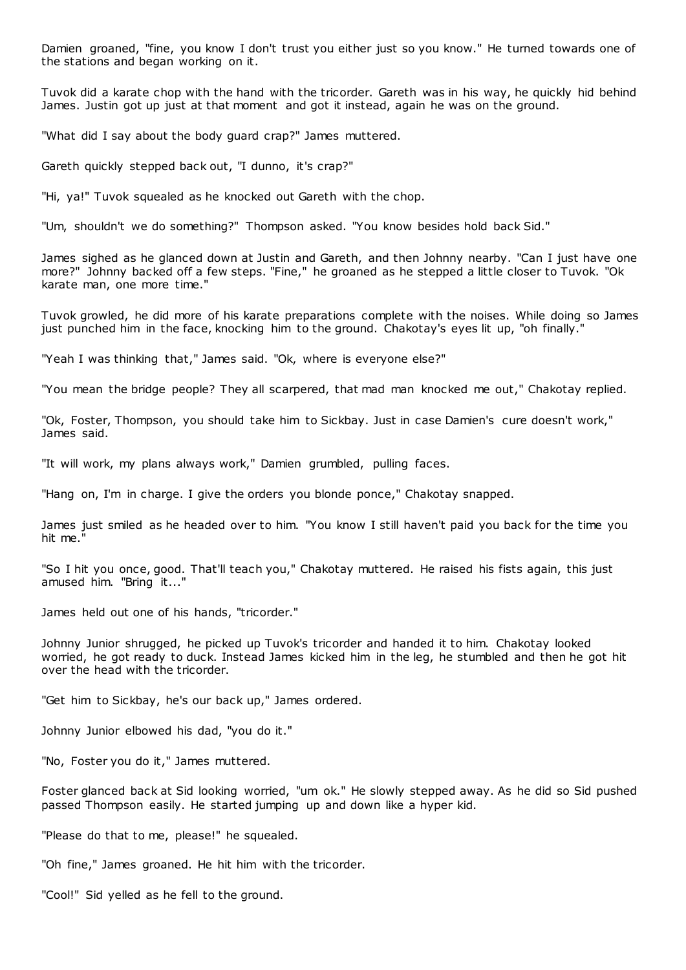Damien groaned, "fine, you know I don't trust you either just so you know." He turned towards one of the stations and began working on it.

Tuvok did a karate chop with the hand with the tricorder. Gareth was in his way, he quickly hid behind James. Justin got up just at that moment and got it instead, again he was on the ground.

"What did I say about the body guard crap?" James muttered.

Gareth quickly stepped back out, "I dunno, it's crap?"

"Hi, ya!" Tuvok squealed as he knocked out Gareth with the chop.

"Um, shouldn't we do something?" Thompson asked. "You know besides hold back Sid."

James sighed as he glanced down at Justin and Gareth, and then Johnny nearby. "Can I just have one more?" Johnny backed off a few steps. "Fine," he groaned as he stepped a little closer to Tuvok. "Ok karate man, one more time."

Tuvok growled, he did more of his karate preparations complete with the noises. While doing so James just punched him in the face, knocking him to the ground. Chakotay's eyes lit up, "oh finally."

"Yeah I was thinking that," James said. "Ok, where is everyone else?"

"You mean the bridge people? They all scarpered, that mad man knocked me out," Chakotay replied.

"Ok, Foster, Thompson, you should take him to Sickbay. Just in case Damien's cure doesn't work," James said.

"It will work, my plans always work," Damien grumbled, pulling faces.

"Hang on, I'm in charge. I give the orders you blonde ponce," Chakotay snapped.

James just smiled as he headed over to him. "You know I still haven't paid you back for the time you hit me."

"So I hit you once, good. That'll teach you," Chakotay muttered. He raised his fists again, this just amused him. "Bring it..."

James held out one of his hands, "tricorder."

Johnny Junior shrugged, he picked up Tuvok's tricorder and handed it to him. Chakotay looked worried, he got ready to duck. Instead James kicked him in the leg, he stumbled and then he got hit over the head with the tricorder.

"Get him to Sickbay, he's our back up," James ordered.

Johnny Junior elbowed his dad, "you do it."

"No, Foster you do it," James muttered.

Foster glanced back at Sid looking worried, "um ok." He slowly stepped away. As he did so Sid pushed passed Thompson easily. He started jumping up and down like a hyper kid.

"Please do that to me, please!" he squealed.

"Oh fine," James groaned. He hit him with the tricorder.

"Cool!" Sid yelled as he fell to the ground.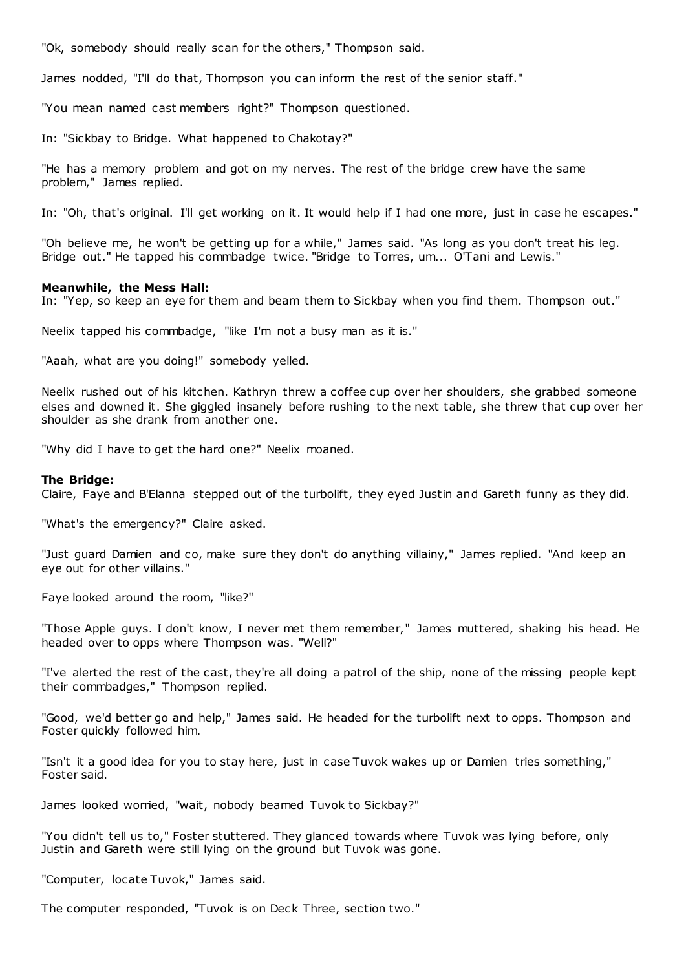"Ok, somebody should really scan for the others," Thompson said.

James nodded, "I'll do that, Thompson you can inform the rest of the senior staff."

"You mean named cast members right?" Thompson questioned.

In: "Sickbay to Bridge. What happened to Chakotay?"

"He has a memory problem and got on my nerves. The rest of the bridge crew have the same problem," James replied.

In: "Oh, that's original. I'll get working on it. It would help if I had one more, just in case he escapes."

"Oh believe me, he won't be getting up for a while," James said. "As long as you don't treat his leg. Bridge out." He tapped his commbadge twice. "Bridge to Torres, um... O'Tani and Lewis."

# **Meanwhile, the Mess Hall:**

In: "Yep, so keep an eye for them and beam them to Sickbay when you find them. Thompson out."

Neelix tapped his commbadge, "like I'm not a busy man as it is."

"Aaah, what are you doing!" somebody yelled.

Neelix rushed out of his kitchen. Kathryn threw a coffee cup over her shoulders, she grabbed someone elses and downed it. She giggled insanely before rushing to the next table, she threw that cup over her shoulder as she drank from another one.

"Why did I have to get the hard one?" Neelix moaned.

# **The Bridge:**

Claire, Faye and B'Elanna stepped out of the turbolift, they eyed Justin and Gareth funny as they did.

"What's the emergency?" Claire asked.

"Just guard Damien and co, make sure they don't do anything villainy," James replied. "And keep an eye out for other villains."

Faye looked around the room, "like?"

"Those Apple guys. I don't know, I never met them remember," James muttered, shaking his head. He headed over to opps where Thompson was. "Well?"

"I've alerted the rest of the cast, they're all doing a patrol of the ship, none of the missing people kept their commbadges," Thompson replied.

"Good, we'd better go and help," James said. He headed for the turbolift next to opps. Thompson and Foster quickly followed him.

"Isn't it a good idea for you to stay here, just in case Tuvok wakes up or Damien tries something," Foster said.

James looked worried, "wait, nobody beamed Tuvok to Sickbay?"

"You didn't tell us to," Foster stuttered. They glanced towards where Tuvok was lying before, only Justin and Gareth were still lying on the ground but Tuvok was gone.

"Computer, locate Tuvok," James said.

The computer responded, "Tuvok is on Deck Three, section two."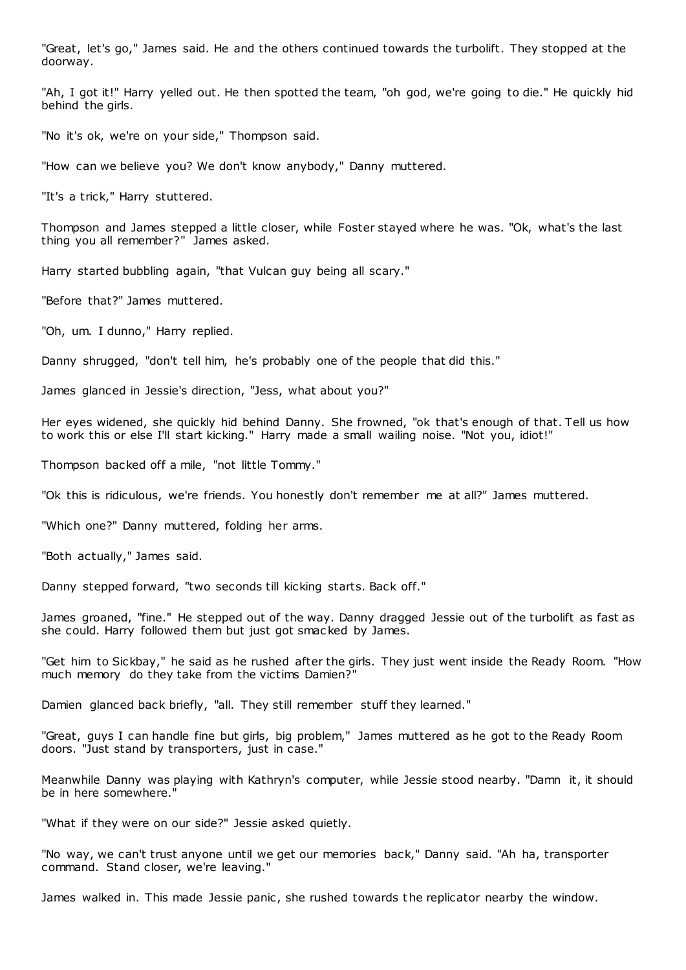"Great, let's go," James said. He and the others continued towards the turbolift. They stopped at the doorway.

"Ah, I got it!" Harry yelled out. He then spotted the team, "oh god, we're going to die." He quickly hid behind the girls.

"No it's ok, we're on your side," Thompson said.

"How can we believe you? We don't know anybody," Danny muttered.

"It's a trick," Harry stuttered.

Thompson and James stepped a little closer, while Foster stayed where he was. "Ok, what's the last thing you all remember?" James asked.

Harry started bubbling again, "that Vulcan guy being all scary."

"Before that?" James muttered.

"Oh, um. I dunno," Harry replied.

Danny shrugged, "don't tell him, he's probably one of the people that did this."

James glanced in Jessie's direction, "Jess, what about you?"

Her eyes widened, she quickly hid behind Danny. She frowned, "ok that's enough of that. Tell us how to work this or else I'll start kicking." Harry made a small wailing noise. "Not you, idiot!"

Thompson backed off a mile, "not little Tommy."

"Ok this is ridiculous, we're friends. You honestly don't remember me at all?" James muttered.

"Which one?" Danny muttered, folding her arms.

"Both actually," James said.

Danny stepped forward, "two seconds till kicking starts. Back off."

James groaned, "fine." He stepped out of the way. Danny dragged Jessie out of the turbolift as fast as she could. Harry followed them but just got smac ked by James.

"Get him to Sickbay," he said as he rushed after the girls. They just went inside the Ready Room. "How much memory do they take from the victims Damien?"

Damien glanced back briefly, "all. They still remember stuff they learned."

"Great, guys I can handle fine but girls, big problem," James muttered as he got to the Ready Room doors. "Just stand by transporters, just in case."

Meanwhile Danny was playing with Kathryn's computer, while Jessie stood nearby. "Damn it, it should be in here somewhere."

"What if they were on our side?" Jessie asked quietly.

"No way, we can't trust anyone until we get our memories back," Danny said. "Ah ha, transporter command. Stand closer, we're leaving."

James walked in. This made Jessie panic, she rushed towards the replicator nearby the window.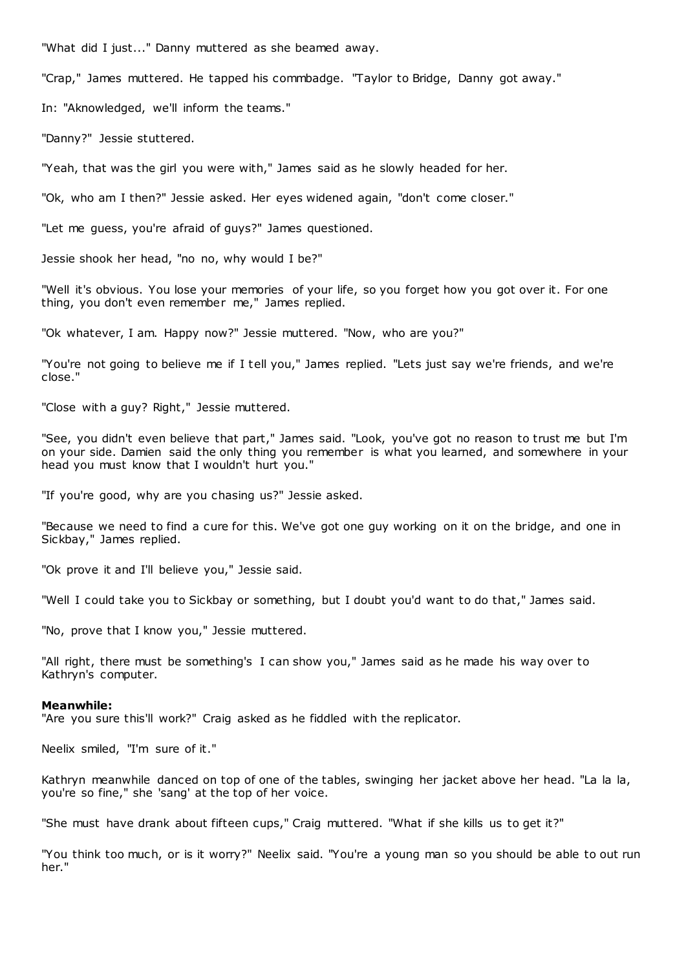"What did I just..." Danny muttered as she beamed away.

"Crap," James muttered. He tapped his commbadge. "Taylor to Bridge, Danny got away."

In: "Aknowledged, we'll inform the teams."

"Danny?" Jessie stuttered.

"Yeah, that was the girl you were with," James said as he slowly headed for her.

"Ok, who am I then?" Jessie asked. Her eyes widened again, "don't come closer."

"Let me guess, you're afraid of guys?" James questioned.

Jessie shook her head, "no no, why would I be?"

"Well it's obvious. You lose your memories of your life, so you forget how you got over it. For one thing, you don't even remember me," James replied.

"Ok whatever, I am. Happy now?" Jessie muttered. "Now, who are you?"

"You're not going to believe me if I tell you," James replied. "Lets just say we're friends, and we're close."

"Close with a guy? Right," Jessie muttered.

"See, you didn't even believe that part," James said. "Look, you've got no reason to trust me but I'm on your side. Damien said the only thing you remember is what you learned, and somewhere in your head you must know that I wouldn't hurt you."

"If you're good, why are you chasing us?" Jessie asked.

"Because we need to find a cure for this. We've got one guy working on it on the bridge, and one in Sickbay," James replied.

"Ok prove it and I'll believe you," Jessie said.

"Well I could take you to Sickbay or something, but I doubt you'd want to do that," James said.

"No, prove that I know you," Jessie muttered.

"All right, there must be something's I can show you," James said as he made his way over to Kathryn's computer.

#### **Meanwhile:**

"Are you sure this'll work?" Craig asked as he fiddled with the replicator.

Neelix smiled, "I'm sure of it."

Kathryn meanwhile danced on top of one of the tables, swinging her jacket above her head. "La la la, you're so fine," she 'sang' at the top of her voice.

"She must have drank about fifteen cups," Craig muttered. "What if she kills us to get it?"

"You think too much, or is it worry?" Neelix said. "You're a young man so you should be able to out run her."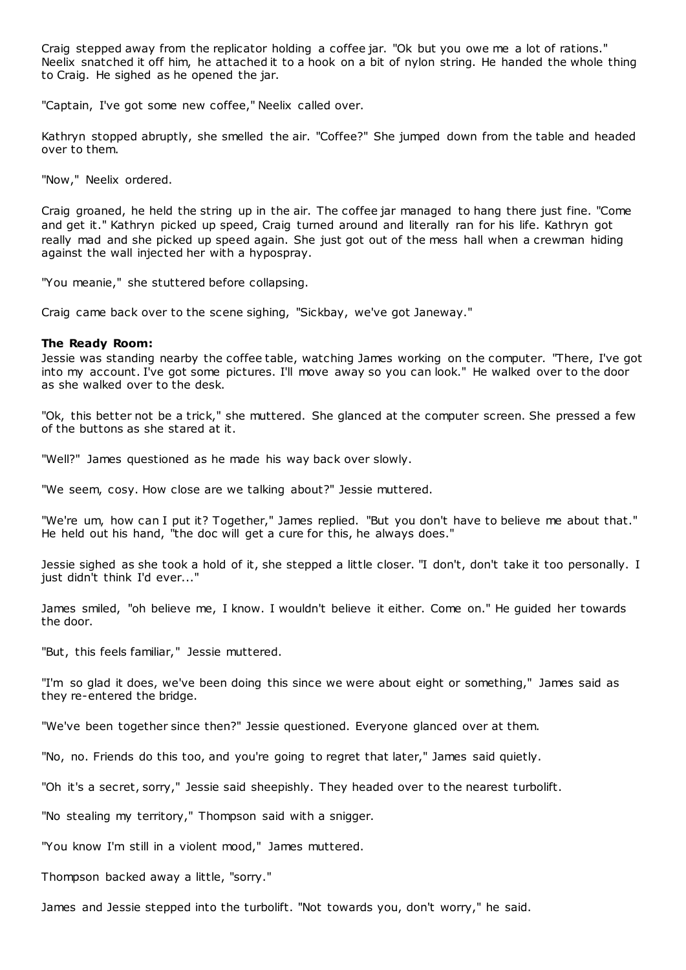Craig stepped away from the replicator holding a coffee jar. "Ok but you owe me a lot of rations." Neelix snatched it off him, he attached it to a hook on a bit of nylon string. He handed the whole thing to Craig. He sighed as he opened the jar.

"Captain, I've got some new coffee," Neelix called over.

Kathryn stopped abruptly, she smelled the air. "Coffee?" She jumped down from the table and headed over to them.

"Now," Neelix ordered.

Craig groaned, he held the string up in the air. The coffee jar managed to hang there just fine. "Come and get it." Kathryn picked up speed, Craig turned around and literally ran for his life. Kathryn got really mad and she picked up speed again. She just got out of the mess hall when a crewman hiding against the wall injected her with a hypospray.

"You meanie," she stuttered before collapsing.

Craig came back over to the scene sighing, "Sickbay, we've got Janeway."

# **The Ready Room:**

Jessie was standing nearby the coffee table, watching James working on the computer. "There, I've got into my account. I've got some pictures. I'll move away so you can look." He walked over to the door as she walked over to the desk.

"Ok, this better not be a trick," she muttered. She glanced at the computer screen. She pressed a few of the buttons as she stared at it.

"Well?" James questioned as he made his way back over slowly.

"We seem, cosy. How close are we talking about?" Jessie muttered.

"We're um, how can I put it? Together," James replied. "But you don't have to believe me about that." He held out his hand, "the doc will get a cure for this, he always does."

Jessie sighed as she took a hold of it, she stepped a little closer. "I don't, don't take it too personally. I just didn't think I'd ever..."

James smiled, "oh believe me, I know. I wouldn't believe it either. Come on." He guided her towards the door.

"But, this feels familiar," Jessie muttered.

"I'm so glad it does, we've been doing this since we were about eight or something," James said as they re-entered the bridge.

"We've been together since then?" Jessie questioned. Everyone glanced over at them.

"No, no. Friends do this too, and you're going to regret that later," James said quietly.

"Oh it's a secret, sorry," Jessie said sheepishly. They headed over to the nearest turbolift.

"No stealing my territory," Thompson said with a snigger.

"You know I'm still in a violent mood," James muttered.

Thompson backed away a little, "sorry."

James and Jessie stepped into the turbolift. "Not towards you, don't worry," he said.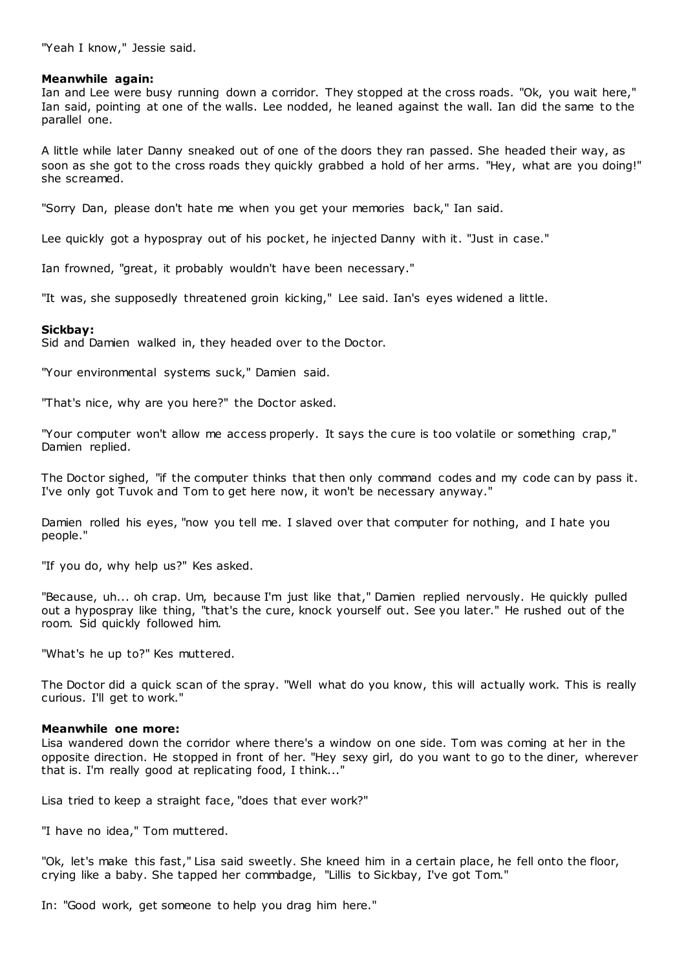# **Meanwhile again:**

Ian and Lee were busy running down a corridor. They stopped at the cross roads. "Ok, you wait here," Ian said, pointing at one of the walls. Lee nodded, he leaned against the wall. Ian did the same to the parallel one.

A little while later Danny sneaked out of one of the doors they ran passed. She headed their way, as soon as she got to the cross roads they quickly grabbed a hold of her arms. "Hey, what are you doing!" she screamed.

"Sorry Dan, please don't hate me when you get your memories back," Ian said.

Lee quickly got a hypospray out of his pocket, he injected Danny with it. "Just in case."

Ian frowned, "great, it probably wouldn't have been necessary."

"It was, she supposedly threatened groin kicking," Lee said. Ian's eyes widened a little.

# **Sickbay:**

Sid and Damien walked in, they headed over to the Doctor.

"Your environmental systems suck," Damien said.

"That's nice, why are you here?" the Doctor asked.

"Your computer won't allow me access properly. It says the cure is too volatile or something crap," Damien replied.

The Doctor sighed, "if the computer thinks that then only command codes and my code can by pass it. I've only got Tuvok and Tom to get here now, it won't be necessary anyway."

Damien rolled his eyes, "now you tell me. I slaved over that computer for nothing, and I hate you people."

"If you do, why help us?" Kes asked.

"Because, uh... oh crap. Um, because I'm just like that," Damien replied nervously. He quickly pulled out a hypospray like thing, "that's the cure, knock yourself out. See you later." He rushed out of the room. Sid quickly followed him.

"What's he up to?" Kes muttered.

The Doctor did a quick scan of the spray. "Well what do you know, this will actually work. This is really curious. I'll get to work."

# **Meanwhile one more:**

Lisa wandered down the corridor where there's a window on one side. Tom was coming at her in the opposite direction. He stopped in front of her. "Hey sexy girl, do you want to go to the diner, wherever that is. I'm really good at replicating food, I think..."

Lisa tried to keep a straight face, "does that ever work?"

"I have no idea," Tom muttered.

"Ok, let's make this fast," Lisa said sweetly. She kneed him in a certain place, he fell onto the floor, crying like a baby. She tapped her commbadge, "Lillis to Sickbay, I've got Tom."

In: "Good work, get someone to help you drag him here."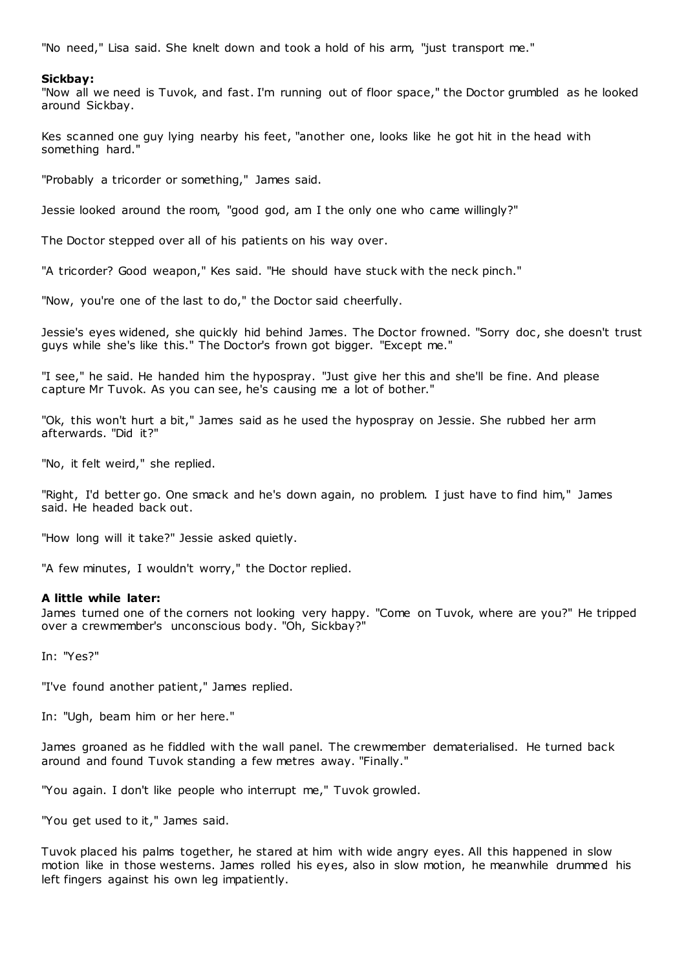"No need," Lisa said. She knelt down and took a hold of his arm, "just transport me."

### **Sickbay:**

"Now all we need is Tuvok, and fast. I'm running out of floor space," the Doctor grumbled as he looked around Sickbay.

Kes scanned one guy lying nearby his feet, "another one, looks like he got hit in the head with something hard."

"Probably a tricorder or something," James said.

Jessie looked around the room, "good god, am I the only one who came willingly?"

The Doctor stepped over all of his patients on his way over.

"A tricorder? Good weapon," Kes said. "He should have stuck with the neck pinch."

"Now, you're one of the last to do," the Doctor said cheerfully.

Jessie's eyes widened, she quickly hid behind James. The Doctor frowned. "Sorry doc, she doesn't trust guys while she's like this." The Doctor's frown got bigger. "Except me."

"I see," he said. He handed him the hypospray. "Just give her this and she'll be fine. And please capture Mr Tuvok. As you can see, he's causing me a lot of bother."

"Ok, this won't hurt a bit," James said as he used the hypospray on Jessie. She rubbed her arm afterwards. "Did it?"

"No, it felt weird," she replied.

"Right, I'd better go. One smack and he's down again, no problem. I just have to find him," James said. He headed back out.

"How long will it take?" Jessie asked quietly.

"A few minutes, I wouldn't worry," the Doctor replied.

### **A little while later:**

James turned one of the corners not looking very happy. "Come on Tuvok, where are you?" He tripped over a crewmember's unconscious body. "Oh, Sickbay?"

In: "Yes?"

"I've found another patient," James replied.

In: "Ugh, beam him or her here."

James groaned as he fiddled with the wall panel. The crewmember dematerialised. He turned back around and found Tuvok standing a few metres away. "Finally."

"You again. I don't like people who interrupt me," Tuvok growled.

"You get used to it," James said.

Tuvok placed his palms together, he stared at him with wide angry eyes. All this happened in slow motion like in those westerns. James rolled his eyes, also in slow motion, he meanwhile drummed his left fingers against his own leg impatiently.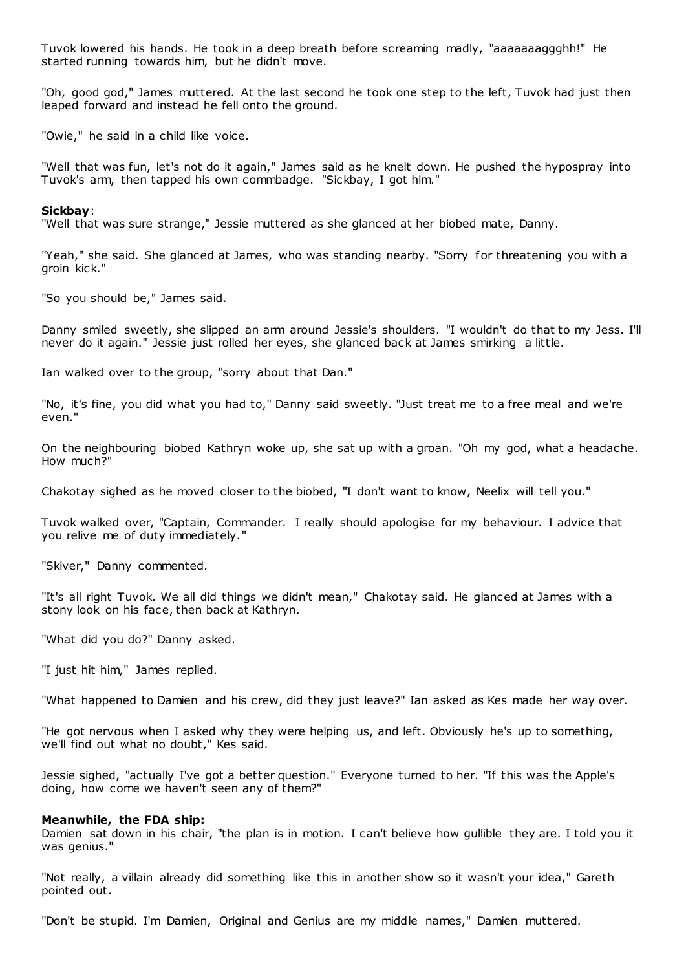Tuvok lowered his hands. He took in a deep breath before screaming madly, "aaaaaaaggghh!" He started running towards him, but he didn't move.

"Oh, good god," James muttered. At the last second he took one step to the left, Tuvok had just then leaped forward and instead he fell onto the ground.

"Owie," he said in a child like voice.

"Well that was fun, let's not do it again," James said as he knelt down. He pushed the hypospray into Tuvok's arm, then tapped his own commbadge. "Sickbay, I got him."

# **Sickbay**:

"Well that was sure strange," Jessie muttered as she glanced at her biobed mate, Danny.

"Yeah," she said. She glanced at James, who was standing nearby. "Sorry for threatening you with a groin kick."

"So you should be," James said.

Danny smiled sweetly, she slipped an arm around Jessie's shoulders. "I wouldn't do that to my Jess. I'll never do it again." Jessie just rolled her eyes, she glanced back at James smirking a little.

Ian walked over to the group, "sorry about that Dan."

"No, it's fine, you did what you had to," Danny said sweetly. "Just treat me to a free meal and we're even."

On the neighbouring biobed Kathryn woke up, she sat up with a groan. "Oh my god, what a headache. How much?"

Chakotay sighed as he moved closer to the biobed, "I don't want to know, Neelix will tell you."

Tuvok walked over, "Captain, Commander. I really should apologise for my behaviour. I advice that you relive me of duty immediately."

"Skiver," Danny commented.

"It's all right Tuvok. We all did things we didn't mean," Chakotay said. He glanced at James with a stony look on his face, then back at Kathryn.

"What did you do?" Danny asked.

"I just hit him," James replied.

"What happened to Damien and his crew, did they just leave?" Ian asked as Kes made her way over.

"He got nervous when I asked why they were helping us, and left. Obviously he's up to something, we'll find out what no doubt," Kes said.

Jessie sighed, "actually I've got a better question." Everyone turned to her. "If this was the Apple's doing, how come we haven't seen any of them?"

### **Meanwhile, the FDA ship:**

Damien sat down in his chair, "the plan is in motion. I can't believe how gullible they are. I told you it was genius."

"Not really, a villain already did something like this in another show so it wasn't your idea," Gareth pointed out.

"Don't be stupid. I'm Damien, Original and Genius are my middle names," Damien muttered.